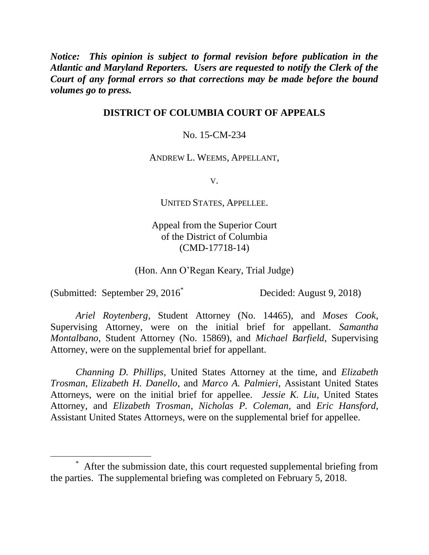*Notice: This opinion is subject to formal revision before publication in the Atlantic and Maryland Reporters. Users are requested to notify the Clerk of the Court of any formal errors so that corrections may be made before the bound volumes go to press.*

# **DISTRICT OF COLUMBIA COURT OF APPEALS**

## No. 15-CM-234

ANDREW L. WEEMS, APPELLANT,

V.

UNITED STATES, APPELLEE.

Appeal from the Superior Court of the District of Columbia (CMD-17718-14)

(Hon. Ann O"Regan Keary, Trial Judge)

(Submitted: September 29, 2016\*

 $\overline{a}$ 

Decided: August 9, 2018)

*Ariel Roytenberg*, Student Attorney (No. 14465), and *Moses Cook*, Supervising Attorney, were on the initial brief for appellant. *Samantha Montalbano*, Student Attorney (No. 15869), and *Michael Barfield*, Supervising Attorney, were on the supplemental brief for appellant.

*Channing D. Phillips*, United States Attorney at the time, and *Elizabeth Trosman*, *Elizabeth H. Danello*, and *Marco A. Palmieri*, Assistant United States Attorneys, were on the initial brief for appellee. *Jessie K. Liu*, United States Attorney, and *Elizabeth Trosman*, *Nicholas P. Coleman*, and *Eric Hansford*, Assistant United States Attorneys, were on the supplemental brief for appellee.

<sup>\*</sup> After the submission date, this court requested supplemental briefing from the parties. The supplemental briefing was completed on February 5, 2018.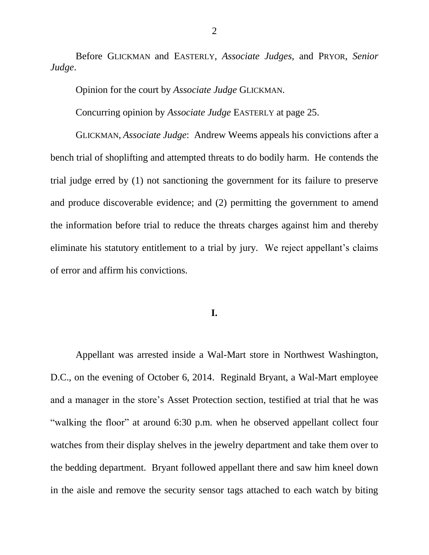Before GLICKMAN and EASTERLY, *Associate Judges*, and PRYOR, *Senior Judge*.

Opinion for the court by *Associate Judge* GLICKMAN.

Concurring opinion by *Associate Judge* EASTERLY at page 25.

GLICKMAN, *Associate Judge*: Andrew Weems appeals his convictions after a bench trial of shoplifting and attempted threats to do bodily harm. He contends the trial judge erred by (1) not sanctioning the government for its failure to preserve and produce discoverable evidence; and (2) permitting the government to amend the information before trial to reduce the threats charges against him and thereby eliminate his statutory entitlement to a trial by jury. We reject appellant"s claims of error and affirm his convictions.

## **I.**

Appellant was arrested inside a Wal-Mart store in Northwest Washington, D.C., on the evening of October 6, 2014. Reginald Bryant, a Wal-Mart employee and a manager in the store"s Asset Protection section, testified at trial that he was "walking the floor" at around 6:30 p.m. when he observed appellant collect four watches from their display shelves in the jewelry department and take them over to the bedding department. Bryant followed appellant there and saw him kneel down in the aisle and remove the security sensor tags attached to each watch by biting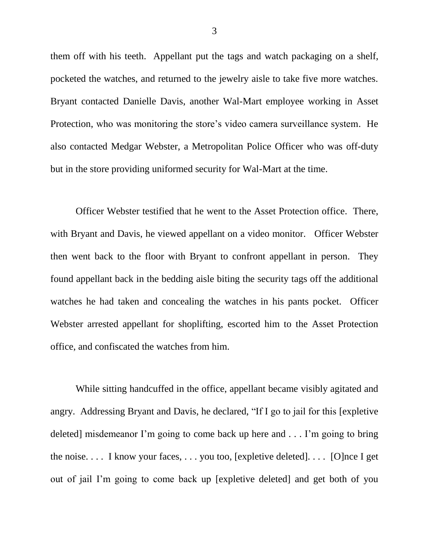them off with his teeth. Appellant put the tags and watch packaging on a shelf, pocketed the watches, and returned to the jewelry aisle to take five more watches. Bryant contacted Danielle Davis, another Wal-Mart employee working in Asset Protection, who was monitoring the store"s video camera surveillance system. He also contacted Medgar Webster, a Metropolitan Police Officer who was off-duty but in the store providing uniformed security for Wal-Mart at the time.

Officer Webster testified that he went to the Asset Protection office. There, with Bryant and Davis, he viewed appellant on a video monitor. Officer Webster then went back to the floor with Bryant to confront appellant in person. They found appellant back in the bedding aisle biting the security tags off the additional watches he had taken and concealing the watches in his pants pocket. Officer Webster arrested appellant for shoplifting, escorted him to the Asset Protection office, and confiscated the watches from him.

While sitting handcuffed in the office, appellant became visibly agitated and angry. Addressing Bryant and Davis, he declared, "If I go to jail for this [expletive deleted] misdemeanor I'm going to come back up here and . . . I'm going to bring the noise. . . . I know your faces, . . . you too, [expletive deleted]. . . . [O]nce I get out of jail I"m going to come back up [expletive deleted] and get both of you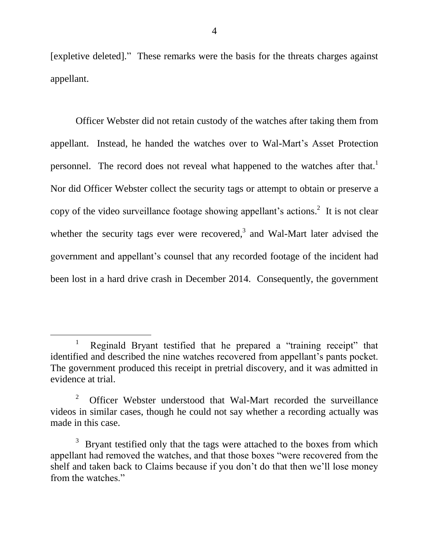[expletive deleted]." These remarks were the basis for the threats charges against appellant.

Officer Webster did not retain custody of the watches after taking them from appellant. Instead, he handed the watches over to Wal-Mart"s Asset Protection personnel. The record does not reveal what happened to the watches after that.<sup>1</sup> Nor did Officer Webster collect the security tags or attempt to obtain or preserve a copy of the video surveillance footage showing appellant's actions.<sup>2</sup> It is not clear whether the security tags ever were recovered,<sup>3</sup> and Wal-Mart later advised the government and appellant"s counsel that any recorded footage of the incident had been lost in a hard drive crash in December 2014. Consequently, the government

<sup>1</sup> Reginald Bryant testified that he prepared a "training receipt" that identified and described the nine watches recovered from appellant's pants pocket. The government produced this receipt in pretrial discovery, and it was admitted in evidence at trial.

<sup>2</sup> Officer Webster understood that Wal-Mart recorded the surveillance videos in similar cases, though he could not say whether a recording actually was made in this case.

 $3$  Bryant testified only that the tags were attached to the boxes from which appellant had removed the watches, and that those boxes "were recovered from the shelf and taken back to Claims because if you don"t do that then we"ll lose money from the watches."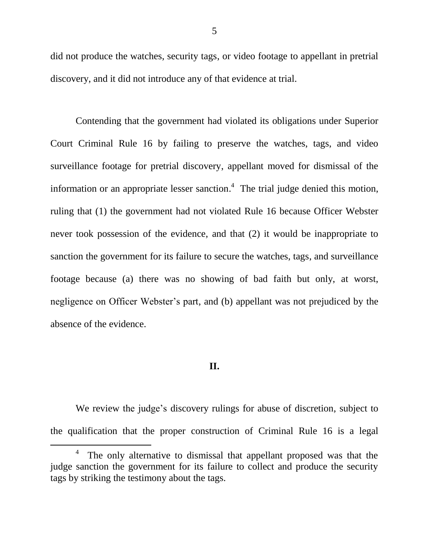did not produce the watches, security tags, or video footage to appellant in pretrial discovery, and it did not introduce any of that evidence at trial.

Contending that the government had violated its obligations under Superior Court Criminal Rule 16 by failing to preserve the watches, tags, and video surveillance footage for pretrial discovery, appellant moved for dismissal of the information or an appropriate lesser sanction. 4 The trial judge denied this motion, ruling that (1) the government had not violated Rule 16 because Officer Webster never took possession of the evidence, and that (2) it would be inappropriate to sanction the government for its failure to secure the watches, tags, and surveillance footage because (a) there was no showing of bad faith but only, at worst, negligence on Officer Webster's part, and (b) appellant was not prejudiced by the absence of the evidence.

#### **II.**

We review the judge's discovery rulings for abuse of discretion, subject to the qualification that the proper construction of Criminal Rule 16 is a legal

<sup>4</sup> The only alternative to dismissal that appellant proposed was that the judge sanction the government for its failure to collect and produce the security tags by striking the testimony about the tags.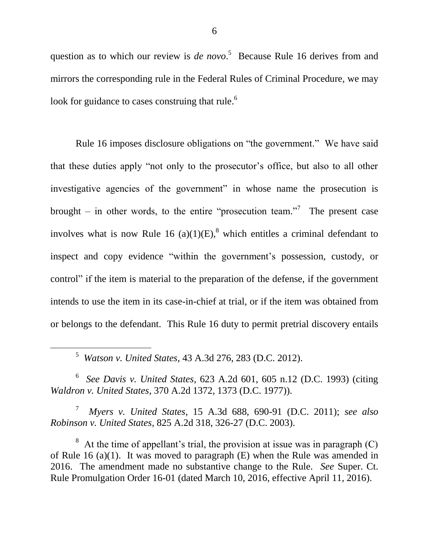question as to which our review is *de novo*. 5 Because Rule 16 derives from and mirrors the corresponding rule in the Federal Rules of Criminal Procedure, we may look for guidance to cases construing that rule.<sup>6</sup>

Rule 16 imposes disclosure obligations on "the government." We have said that these duties apply "not only to the prosecutor"s office, but also to all other investigative agencies of the government" in whose name the prosecution is brought  $-$  in other words, to the entire "prosecution team."<sup>7</sup> The present case involves what is now Rule 16 (a)(1)(E),<sup>8</sup> which entitles a criminal defendant to inspect and copy evidence "within the government's possession, custody, or control" if the item is material to the preparation of the defense, if the government intends to use the item in its case-in-chief at trial, or if the item was obtained from or belongs to the defendant. This Rule 16 duty to permit pretrial discovery entails

<sup>5</sup> *Watson v. United States*, 43 A.3d 276, 283 (D.C. 2012).

 $\overline{a}$ 

6 *See Davis v. United States*, 623 A.2d 601, 605 n.12 (D.C. 1993) (citing *Waldron v. United States*, 370 A.2d 1372, 1373 (D.C. 1977)).

7 *Myers v. United States*, 15 A.3d 688, 690-91 (D.C. 2011); *see also Robinson v. United States*, 825 A.2d 318, 326-27 (D.C. 2003).

<sup>8</sup> At the time of appellant's trial, the provision at issue was in paragraph  $(C)$ of Rule 16 (a)(1). It was moved to paragraph (E) when the Rule was amended in 2016. The amendment made no substantive change to the Rule. *See* Super. Ct. Rule Promulgation Order 16-01 (dated March 10, 2016, effective April 11, 2016).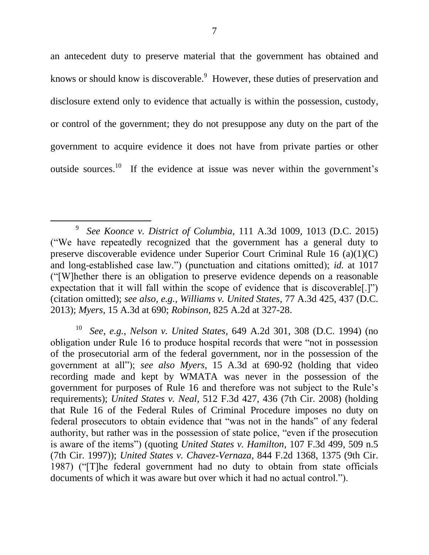an antecedent duty to preserve material that the government has obtained and knows or should know is discoverable.<sup>9</sup> However, these duties of preservation and disclosure extend only to evidence that actually is within the possession, custody, or control of the government; they do not presuppose any duty on the part of the government to acquire evidence it does not have from private parties or other outside sources.<sup>10</sup> If the evidence at issue was never within the government's

l

10 *See, e.g.*, *Nelson v. United States*, 649 A.2d 301, 308 (D.C. 1994) (no obligation under Rule 16 to produce hospital records that were "not in possession of the prosecutorial arm of the federal government, nor in the possession of the government at all"); *see also Myers*, 15 A.3d at 690-92 (holding that video recording made and kept by WMATA was never in the possession of the government for purposes of Rule 16 and therefore was not subject to the Rule"s requirements); *United States v. Neal*, 512 F.3d 427, 436 (7th Cir. 2008) (holding that Rule 16 of the Federal Rules of Criminal Procedure imposes no duty on federal prosecutors to obtain evidence that "was not in the hands" of any federal authority, but rather was in the possession of state police, "even if the prosecution is aware of the items") (quoting *United States v. Hamilton*, 107 F.3d 499, 509 n.5 (7th Cir. 1997)); *United States v. Chavez-Vernaza*, 844 F.2d 1368, 1375 (9th Cir. 1987) ("[T]he federal government had no duty to obtain from state officials documents of which it was aware but over which it had no actual control.").

<sup>9</sup> *See Koonce v. District of Columbia*, 111 A.3d 1009, 1013 (D.C. 2015) ("We have repeatedly recognized that the government has a general duty to preserve discoverable evidence under Superior Court Criminal Rule 16 (a)(1)(C) and long-established case law.") (punctuation and citations omitted); *id.* at 1017 ("[W]hether there is an obligation to preserve evidence depends on a reasonable expectation that it will fall within the scope of evidence that is discoverable[.]") (citation omitted); *see also, e.g.*, *Williams v. United States*, 77 A.3d 425, 437 (D.C. 2013); *Myers*, 15 A.3d at 690; *Robinson*, 825 A.2d at 327-28.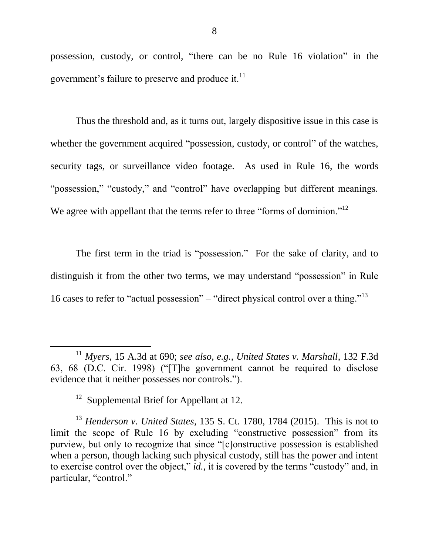possession, custody, or control, "there can be no Rule 16 violation" in the government's failure to preserve and produce it. $^{11}$ 

Thus the threshold and, as it turns out, largely dispositive issue in this case is whether the government acquired "possession, custody, or control" of the watches, security tags, or surveillance video footage. As used in Rule 16, the words "possession," "custody," and "control" have overlapping but different meanings. We agree with appellant that the terms refer to three "forms of dominion."<sup>12</sup>

The first term in the triad is "possession." For the sake of clarity, and to distinguish it from the other two terms, we may understand "possession" in Rule 16 cases to refer to "actual possession" – "direct physical control over a thing."<sup>13</sup>

<sup>11</sup> *Myers*, 15 A.3d at 690; *see also, e.g.*, *United States v. Marshall*, 132 F.3d 63, 68 (D.C. Cir. 1998) ("[T]he government cannot be required to disclose evidence that it neither possesses nor controls.").

 $12$  Supplemental Brief for Appellant at 12.

<sup>13</sup> *Henderson v. United States*, 135 S. Ct. 1780, 1784 (2015). This is not to limit the scope of Rule 16 by excluding "constructive possession" from its purview, but only to recognize that since "[c]onstructive possession is established when a person, though lacking such physical custody, still has the power and intent to exercise control over the object," *id.*, it is covered by the terms "custody" and, in particular, "control."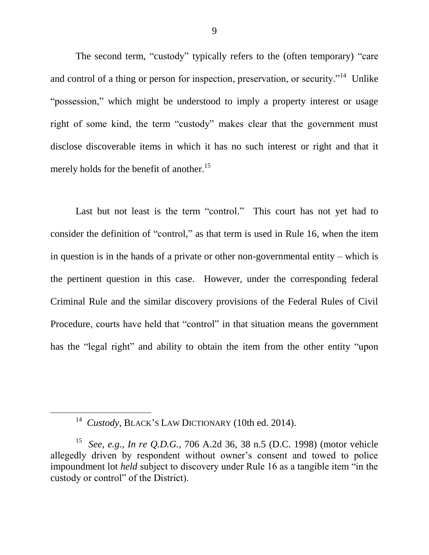The second term, "custody" typically refers to the (often temporary) "care and control of a thing or person for inspection, preservation, or security."<sup>14</sup> Unlike "possession," which might be understood to imply a property interest or usage right of some kind, the term "custody" makes clear that the government must disclose discoverable items in which it has no such interest or right and that it merely holds for the benefit of another.<sup>15</sup>

Last but not least is the term "control." This court has not yet had to consider the definition of "control," as that term is used in Rule 16, when the item in question is in the hands of a private or other non-governmental entity – which is the pertinent question in this case. However, under the corresponding federal Criminal Rule and the similar discovery provisions of the Federal Rules of Civil Procedure, courts have held that "control" in that situation means the government has the "legal right" and ability to obtain the item from the other entity "upon

<sup>&</sup>lt;sup>14</sup> *Custody*, BLACK's LAW DICTIONARY (10th ed. 2014).

<sup>15</sup> *See, e.g.*, *In re Q.D.G.*, 706 A.2d 36, 38 n.5 (D.C. 1998) (motor vehicle allegedly driven by respondent without owner's consent and towed to police impoundment lot *held* subject to discovery under Rule 16 as a tangible item "in the custody or control" of the District).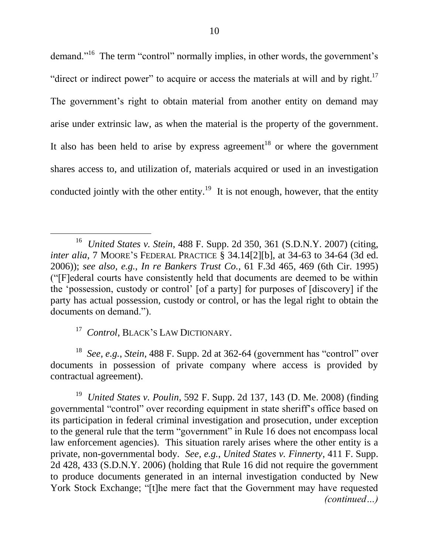demand."<sup>16</sup> The term "control" normally implies, in other words, the government's "direct or indirect power" to acquire or access the materials at will and by right. $17$ The government's right to obtain material from another entity on demand may arise under extrinsic law, as when the material is the property of the government. It also has been held to arise by express agreement<sup>18</sup> or where the government shares access to, and utilization of, materials acquired or used in an investigation conducted jointly with the other entity.<sup>19</sup> It is not enough, however, that the entity

<sup>17</sup> Control, BLACK'S LAW DICTIONARY.

l

18 *See, e.g.*, *Stein*, 488 F. Supp. 2d at 362-64 (government has "control" over documents in possession of private company where access is provided by contractual agreement).

19 *United States v. Poulin*, 592 F. Supp. 2d 137, 143 (D. Me. 2008) (finding governmental "control" over recording equipment in state sheriff"s office based on its participation in federal criminal investigation and prosecution, under exception to the general rule that the term "government" in Rule 16 does not encompass local law enforcement agencies). This situation rarely arises where the other entity is a private, non-governmental body. *See, e.g.*, *United States v. Finnerty*, 411 F. Supp. 2d 428, 433 (S.D.N.Y. 2006) (holding that Rule 16 did not require the government to produce documents generated in an internal investigation conducted by New York Stock Exchange; "[t]he mere fact that the Government may have requested *(continued…)*

<sup>16</sup> *United States v. Stein*, 488 F. Supp. 2d 350, 361 (S.D.N.Y. 2007) (citing, *inter alia*, 7 MOORE'S FEDERAL PRACTICE § 34.14[2][b], at 34-63 to 34-64 (3d ed. 2006)); *see also, e.g.*, *In re Bankers Trust Co.*, 61 F.3d 465, 469 (6th Cir. 1995) ("[F]ederal courts have consistently held that documents are deemed to be within the "possession, custody or control" [of a party] for purposes of [discovery] if the party has actual possession, custody or control, or has the legal right to obtain the documents on demand.").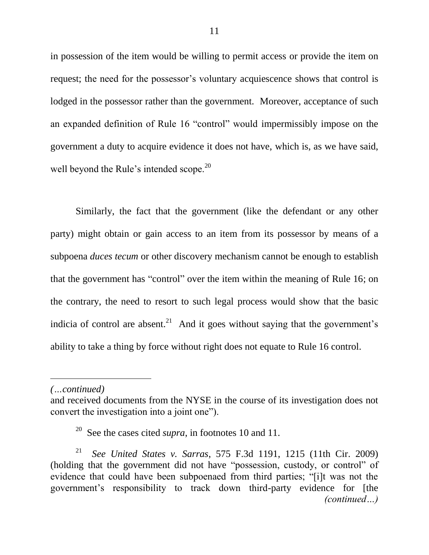in possession of the item would be willing to permit access or provide the item on request; the need for the possessor's voluntary acquiescence shows that control is lodged in the possessor rather than the government. Moreover, acceptance of such an expanded definition of Rule 16 "control" would impermissibly impose on the government a duty to acquire evidence it does not have, which is, as we have said, well beyond the Rule's intended scope.<sup>20</sup>

Similarly, the fact that the government (like the defendant or any other party) might obtain or gain access to an item from its possessor by means of a subpoena *duces tecum* or other discovery mechanism cannot be enough to establish that the government has "control" over the item within the meaning of Rule 16; on the contrary, the need to resort to such legal process would show that the basic indicia of control are absent.<sup>21</sup> And it goes without saying that the government's ability to take a thing by force without right does not equate to Rule 16 control.

*(…continued)*

and received documents from the NYSE in the course of its investigation does not convert the investigation into a joint one").

<sup>20</sup> See the cases cited *supra*, in footnotes 10 and 11.

<sup>21</sup> *See United States v. Sarras*, 575 F.3d 1191, 1215 (11th Cir. 2009) (holding that the government did not have "possession, custody, or control" of evidence that could have been subpoenaed from third parties; "[i]t was not the government"s responsibility to track down third-party evidence for [the *(continued…)*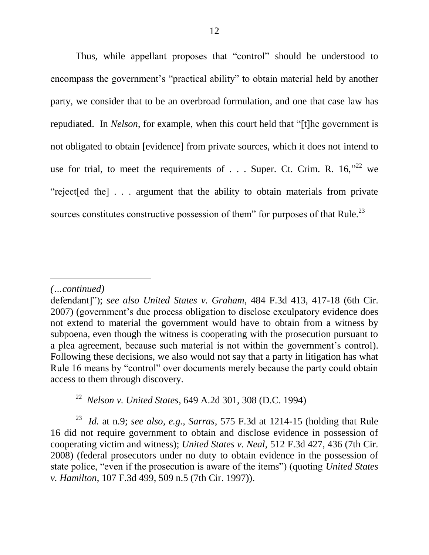Thus, while appellant proposes that "control" should be understood to encompass the government's "practical ability" to obtain material held by another party, we consider that to be an overbroad formulation, and one that case law has repudiated. In *Nelson*, for example, when this court held that "[t]he government is not obligated to obtain [evidence] from private sources, which it does not intend to use for trial, to meet the requirements of  $\ldots$  Super. Ct. Crim. R. 16,<sup>32</sup> we "reject[ed the] . . . argument that the ability to obtain materials from private sources constitutes constructive possession of them" for purposes of that Rule.<sup>23</sup>

 $\overline{a}$ 

22 *Nelson v. United States*, 649 A.2d 301, 308 (D.C. 1994)

23 *Id.* at n.9; *see also, e.g.*, *Sarras*, 575 F.3d at 1214-15 (holding that Rule 16 did not require government to obtain and disclose evidence in possession of cooperating victim and witness); *United States v. Neal*, 512 F.3d 427, 436 (7th Cir. 2008) (federal prosecutors under no duty to obtain evidence in the possession of state police, "even if the prosecution is aware of the items") (quoting *United States v. Hamilton*, 107 F.3d 499, 509 n.5 (7th Cir. 1997)).

*<sup>(…</sup>continued)*

defendant]"); *see also United States v. Graham*, 484 F.3d 413, 417-18 (6th Cir. 2007) (government"s due process obligation to disclose exculpatory evidence does not extend to material the government would have to obtain from a witness by subpoena, even though the witness is cooperating with the prosecution pursuant to a plea agreement, because such material is not within the government's control). Following these decisions, we also would not say that a party in litigation has what Rule 16 means by "control" over documents merely because the party could obtain access to them through discovery.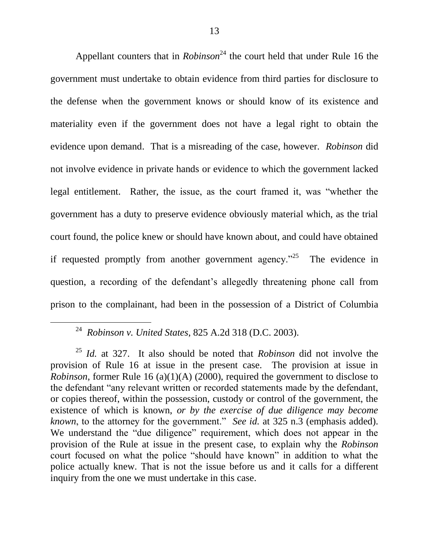Appellant counters that in *Robinson*<sup>24</sup> the court held that under Rule 16 the government must undertake to obtain evidence from third parties for disclosure to the defense when the government knows or should know of its existence and materiality even if the government does not have a legal right to obtain the evidence upon demand. That is a misreading of the case, however. *Robinson* did not involve evidence in private hands or evidence to which the government lacked legal entitlement. Rather, the issue, as the court framed it, was "whether the government has a duty to preserve evidence obviously material which, as the trial court found, the police knew or should have known about, and could have obtained if requested promptly from another government agency. $^{225}$  The evidence in question, a recording of the defendant"s allegedly threatening phone call from prison to the complainant, had been in the possession of a District of Columbia

<sup>24</sup> *Robinson v. United States*, 825 A.2d 318 (D.C. 2003).

<sup>25</sup> *Id.* at 327. It also should be noted that *Robinson* did not involve the provision of Rule 16 at issue in the present case. The provision at issue in *Robinson*, former Rule 16 (a)(1)(A) (2000), required the government to disclose to the defendant "any relevant written or recorded statements made by the defendant, or copies thereof, within the possession, custody or control of the government, the existence of which is known, *or by the exercise of due diligence may become known*, to the attorney for the government." *See id.* at 325 n.3 (emphasis added). We understand the "due diligence" requirement, which does not appear in the provision of the Rule at issue in the present case, to explain why the *Robinson* court focused on what the police "should have known" in addition to what the police actually knew. That is not the issue before us and it calls for a different inquiry from the one we must undertake in this case.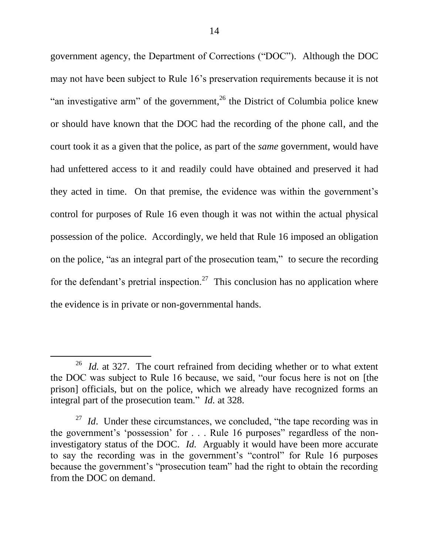government agency, the Department of Corrections ("DOC"). Although the DOC may not have been subject to Rule 16"s preservation requirements because it is not "an investigative arm" of the government,  $2<sup>6</sup>$  the District of Columbia police knew or should have known that the DOC had the recording of the phone call, and the court took it as a given that the police, as part of the *same* government, would have had unfettered access to it and readily could have obtained and preserved it had they acted in time. On that premise, the evidence was within the government's control for purposes of Rule 16 even though it was not within the actual physical possession of the police. Accordingly, we held that Rule 16 imposed an obligation on the police, "as an integral part of the prosecution team," to secure the recording for the defendant's pretrial inspection.<sup>27</sup> This conclusion has no application where the evidence is in private or non-governmental hands.

<sup>&</sup>lt;sup>26</sup> *Id.* at 327. The court refrained from deciding whether or to what extent the DOC was subject to Rule 16 because, we said, "our focus here is not on [the prison] officials, but on the police, which we already have recognized forms an integral part of the prosecution team." *Id.* at 328.

<sup>&</sup>lt;sup>27</sup> *Id*. Under these circumstances, we concluded, "the tape recording was in the government's 'possession' for . . . Rule 16 purposes'' regardless of the noninvestigatory status of the DOC. *Id.* Arguably it would have been more accurate to say the recording was in the government's "control" for Rule 16 purposes because the government"s "prosecution team" had the right to obtain the recording from the DOC on demand.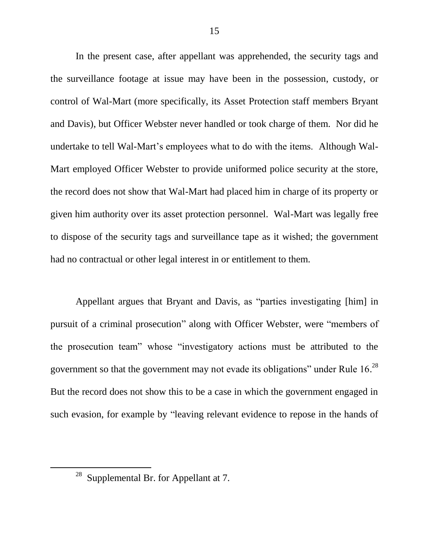In the present case, after appellant was apprehended, the security tags and the surveillance footage at issue may have been in the possession, custody, or control of Wal-Mart (more specifically, its Asset Protection staff members Bryant and Davis), but Officer Webster never handled or took charge of them. Nor did he undertake to tell Wal-Mart"s employees what to do with the items. Although Wal-Mart employed Officer Webster to provide uniformed police security at the store, the record does not show that Wal-Mart had placed him in charge of its property or given him authority over its asset protection personnel. Wal-Mart was legally free to dispose of the security tags and surveillance tape as it wished; the government had no contractual or other legal interest in or entitlement to them.

Appellant argues that Bryant and Davis, as "parties investigating [him] in pursuit of a criminal prosecution" along with Officer Webster, were "members of the prosecution team" whose "investigatory actions must be attributed to the government so that the government may not evade its obligations" under Rule  $16.^{28}$ But the record does not show this to be a case in which the government engaged in such evasion, for example by "leaving relevant evidence to repose in the hands of

<sup>&</sup>lt;sup>28</sup> Supplemental Br. for Appellant at 7.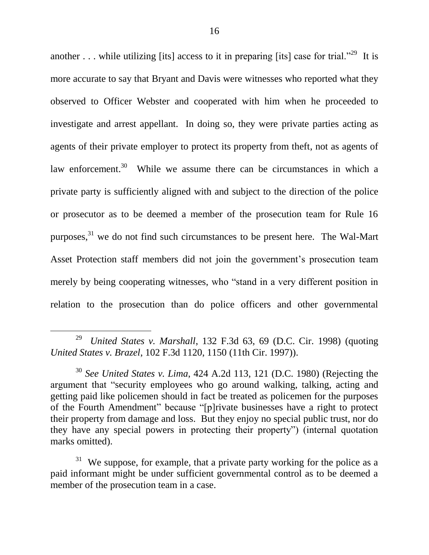another ... while utilizing [its] access to it in preparing [its] case for trial.<sup>229</sup> It is more accurate to say that Bryant and Davis were witnesses who reported what they observed to Officer Webster and cooperated with him when he proceeded to investigate and arrest appellant. In doing so, they were private parties acting as agents of their private employer to protect its property from theft, not as agents of law enforcement.<sup>30</sup> While we assume there can be circumstances in which a private party is sufficiently aligned with and subject to the direction of the police or prosecutor as to be deemed a member of the prosecution team for Rule 16 purposes, $31$  we do not find such circumstances to be present here. The Wal-Mart Asset Protection staff members did not join the government's prosecution team merely by being cooperating witnesses, who "stand in a very different position in relation to the prosecution than do police officers and other governmental

l

 $31$  We suppose, for example, that a private party working for the police as a paid informant might be under sufficient governmental control as to be deemed a member of the prosecution team in a case.

<sup>29</sup> *United States v. Marshall*, 132 F.3d 63, 69 (D.C. Cir. 1998) (quoting *United States v. Brazel*, 102 F.3d 1120, 1150 (11th Cir. 1997)).

<sup>30</sup> *See United States v. Lima*, 424 A.2d 113, 121 (D.C. 1980) (Rejecting the argument that "security employees who go around walking, talking, acting and getting paid like policemen should in fact be treated as policemen for the purposes of the Fourth Amendment" because "[p]rivate businesses have a right to protect their property from damage and loss. But they enjoy no special public trust, nor do they have any special powers in protecting their property") (internal quotation marks omitted).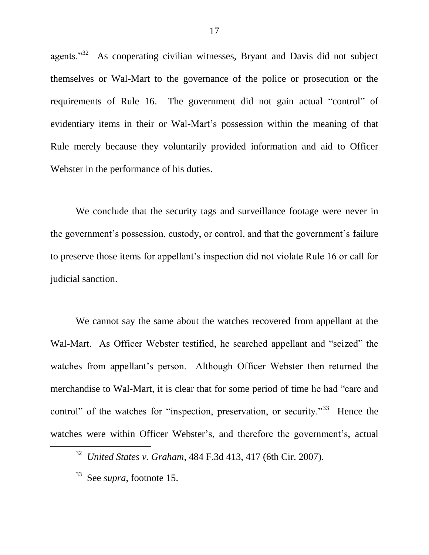agents."<sup>32</sup> As cooperating civilian witnesses, Bryant and Davis did not subject themselves or Wal-Mart to the governance of the police or prosecution or the requirements of Rule 16. The government did not gain actual "control" of evidentiary items in their or Wal-Mart"s possession within the meaning of that Rule merely because they voluntarily provided information and aid to Officer Webster in the performance of his duties.

We conclude that the security tags and surveillance footage were never in the government's possession, custody, or control, and that the government's failure to preserve those items for appellant"s inspection did not violate Rule 16 or call for judicial sanction.

We cannot say the same about the watches recovered from appellant at the Wal-Mart. As Officer Webster testified, he searched appellant and "seized" the watches from appellant's person. Although Officer Webster then returned the merchandise to Wal-Mart, it is clear that for some period of time he had "care and control" of the watches for "inspection, preservation, or security."<sup>33</sup> Hence the watches were within Officer Webster's, and therefore the government's, actual

<sup>32</sup> *United States v. Graham*, 484 F.3d 413, 417 (6th Cir. 2007).

<sup>33</sup> See *supra*, footnote 15.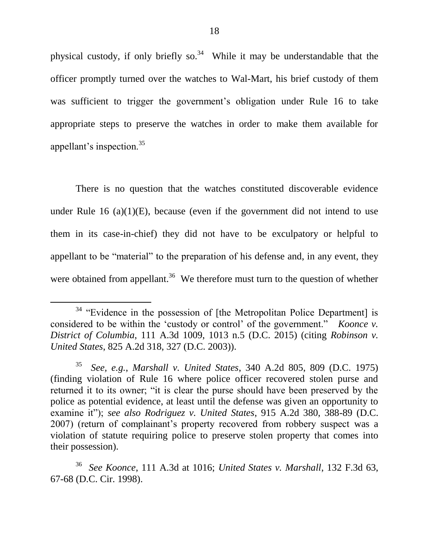physical custody, if only briefly so.<sup>34</sup> While it may be understandable that the officer promptly turned over the watches to Wal-Mart, his brief custody of them was sufficient to trigger the government's obligation under Rule 16 to take appropriate steps to preserve the watches in order to make them available for appellant's inspection.<sup>35</sup>

There is no question that the watches constituted discoverable evidence under Rule 16 (a)(1)(E), because (even if the government did not intend to use them in its case-in-chief) they did not have to be exculpatory or helpful to appellant to be "material" to the preparation of his defense and, in any event, they were obtained from appellant.<sup>36</sup> We therefore must turn to the question of whether

<sup>&</sup>lt;sup>34</sup> "Evidence in the possession of [the Metropolitan Police Department] is considered to be within the 'custody or control' of the government." *Koonce v. District of Columbia*, 111 A.3d 1009, 1013 n.5 (D.C. 2015) (citing *Robinson v. United States*, 825 A.2d 318, 327 (D.C. 2003)).

<sup>35</sup> *See, e.g.*, *Marshall v. United States*, 340 A.2d 805, 809 (D.C. 1975) (finding violation of Rule 16 where police officer recovered stolen purse and returned it to its owner; "it is clear the purse should have been preserved by the police as potential evidence, at least until the defense was given an opportunity to examine it"); *see also Rodriguez v. United States*, 915 A.2d 380, 388-89 (D.C. 2007) (return of complainant"s property recovered from robbery suspect was a violation of statute requiring police to preserve stolen property that comes into their possession).

<sup>36</sup> *See Koonce*, 111 A.3d at 1016; *United States v. Marshall*, 132 F.3d 63, 67-68 (D.C. Cir. 1998).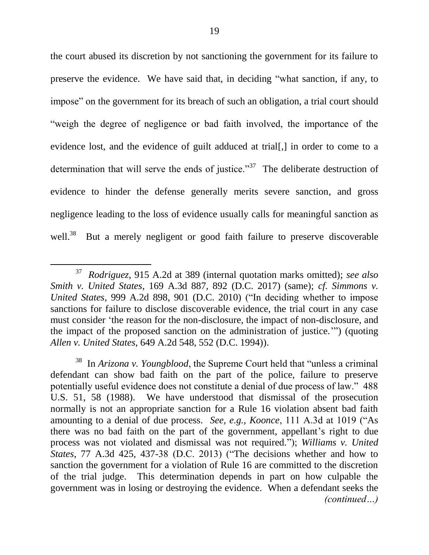the court abused its discretion by not sanctioning the government for its failure to preserve the evidence. We have said that, in deciding "what sanction, if any, to impose" on the government for its breach of such an obligation, a trial court should "weigh the degree of negligence or bad faith involved, the importance of the evidence lost, and the evidence of guilt adduced at trial[,] in order to come to a determination that will serve the ends of justice.<sup>37</sup> The deliberate destruction of evidence to hinder the defense generally merits severe sanction, and gross negligence leading to the loss of evidence usually calls for meaningful sanction as well.<sup>38</sup> But a merely negligent or good faith failure to preserve discoverable

<sup>37</sup> *Rodriguez*, 915 A.2d at 389 (internal quotation marks omitted); *see also Smith v. United States*, 169 A.3d 887, 892 (D.C. 2017) (same); *cf. Simmons v. United States*, 999 A.2d 898, 901 (D.C. 2010) ("In deciding whether to impose sanctions for failure to disclose discoverable evidence, the trial court in any case must consider "the reason for the non-disclosure, the impact of non-disclosure, and the impact of the proposed sanction on the administration of justice."") (quoting *Allen v. United States*, 649 A.2d 548, 552 (D.C. 1994)).

<sup>38</sup> In *Arizona v. Youngblood*, the Supreme Court held that "unless a criminal defendant can show bad faith on the part of the police, failure to preserve potentially useful evidence does not constitute a denial of due process of law." 488 U.S. 51, 58 (1988). We have understood that dismissal of the prosecution normally is not an appropriate sanction for a Rule 16 violation absent bad faith amounting to a denial of due process. *See, e.g.*, *Koonce*, 111 A.3d at 1019 ("As there was no bad faith on the part of the government, appellant"s right to due process was not violated and dismissal was not required."); *Williams v. United States*, 77 A.3d 425, 437-38 (D.C. 2013) ("The decisions whether and how to sanction the government for a violation of Rule 16 are committed to the discretion of the trial judge. This determination depends in part on how culpable the government was in losing or destroying the evidence. When a defendant seeks the *(continued…)*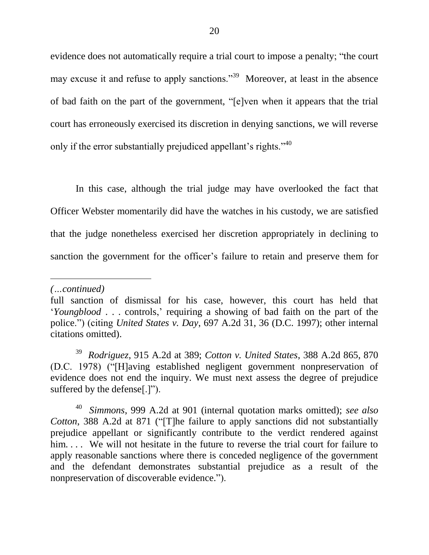evidence does not automatically require a trial court to impose a penalty; "the court may excuse it and refuse to apply sanctions."<sup>39</sup> Moreover, at least in the absence of bad faith on the part of the government, "[e]ven when it appears that the trial court has erroneously exercised its discretion in denying sanctions, we will reverse only if the error substantially prejudiced appellant's rights."<sup>40</sup>

In this case, although the trial judge may have overlooked the fact that Officer Webster momentarily did have the watches in his custody, we are satisfied that the judge nonetheless exercised her discretion appropriately in declining to sanction the government for the officer"s failure to retain and preserve them for

*<sup>(…</sup>continued)*

full sanction of dismissal for his case, however, this court has held that "*Youngblood* . . . controls," requiring a showing of bad faith on the part of the police.") (citing *United States v. Day*, 697 A.2d 31, 36 (D.C. 1997); other internal citations omitted).

<sup>39</sup> *Rodriguez*, 915 A.2d at 389; *Cotton v. United States*, 388 A.2d 865, 870 (D.C. 1978) ("[H]aving established negligent government nonpreservation of evidence does not end the inquiry. We must next assess the degree of prejudice suffered by the defense[.]").

<sup>40</sup> *Simmons*, 999 A.2d at 901 (internal quotation marks omitted); *see also Cotton*, 388 A.2d at 871 ("[T]he failure to apply sanctions did not substantially prejudice appellant or significantly contribute to the verdict rendered against him. . . . We will not hesitate in the future to reverse the trial court for failure to apply reasonable sanctions where there is conceded negligence of the government and the defendant demonstrates substantial prejudice as a result of the nonpreservation of discoverable evidence.").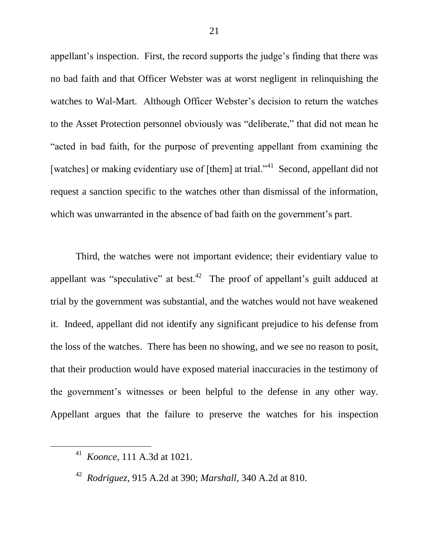appellant's inspection. First, the record supports the judge's finding that there was no bad faith and that Officer Webster was at worst negligent in relinquishing the watches to Wal-Mart. Although Officer Webster's decision to return the watches to the Asset Protection personnel obviously was "deliberate," that did not mean he "acted in bad faith, for the purpose of preventing appellant from examining the [watches] or making evidentiary use of [them] at trial."<sup>41</sup> Second, appellant did not request a sanction specific to the watches other than dismissal of the information, which was unwarranted in the absence of bad faith on the government's part.

Third, the watches were not important evidence; their evidentiary value to appellant was "speculative" at best.<sup>42</sup> The proof of appellant's guilt adduced at trial by the government was substantial, and the watches would not have weakened it. Indeed, appellant did not identify any significant prejudice to his defense from the loss of the watches. There has been no showing, and we see no reason to posit, that their production would have exposed material inaccuracies in the testimony of the government"s witnesses or been helpful to the defense in any other way. Appellant argues that the failure to preserve the watches for his inspection

<sup>41</sup> *Koonce*, 111 A.3d at 1021.

<sup>42</sup> *Rodriguez*, 915 A.2d at 390; *Marshall*, 340 A.2d at 810.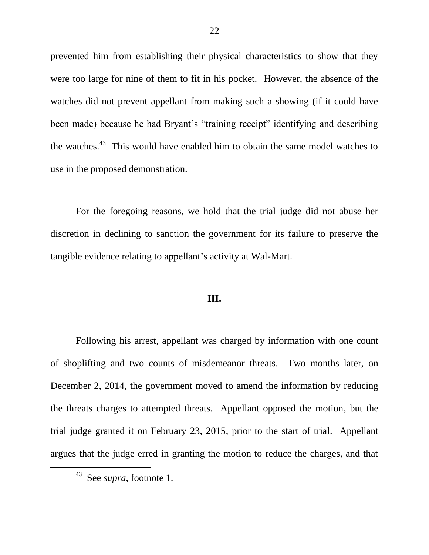prevented him from establishing their physical characteristics to show that they were too large for nine of them to fit in his pocket. However, the absence of the watches did not prevent appellant from making such a showing (if it could have been made) because he had Bryant's "training receipt" identifying and describing the watches. $43$  This would have enabled him to obtain the same model watches to use in the proposed demonstration.

For the foregoing reasons, we hold that the trial judge did not abuse her discretion in declining to sanction the government for its failure to preserve the tangible evidence relating to appellant"s activity at Wal-Mart.

### **III.**

Following his arrest, appellant was charged by information with one count of shoplifting and two counts of misdemeanor threats. Two months later, on December 2, 2014, the government moved to amend the information by reducing the threats charges to attempted threats. Appellant opposed the motion, but the trial judge granted it on February 23, 2015, prior to the start of trial. Appellant argues that the judge erred in granting the motion to reduce the charges, and that

<sup>43</sup> See *supra*, footnote 1.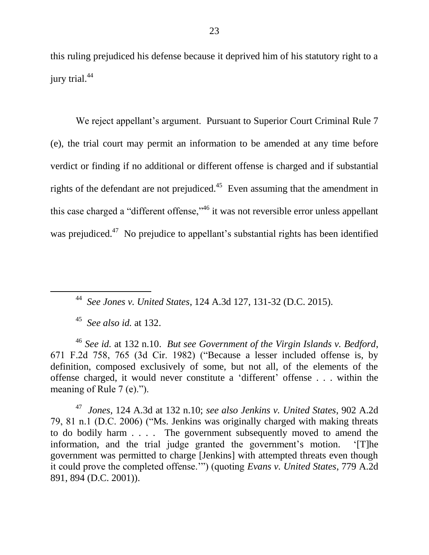this ruling prejudiced his defense because it deprived him of his statutory right to a jury trial.<sup>44</sup>

We reject appellant's argument. Pursuant to Superior Court Criminal Rule 7 (e), the trial court may permit an information to be amended at any time before verdict or finding if no additional or different offense is charged and if substantial rights of the defendant are not prejudiced.<sup>45</sup> Even assuming that the amendment in this case charged a "different offense,"<sup>46</sup> it was not reversible error unless appellant was prejudiced.<sup>47</sup> No prejudice to appellant's substantial rights has been identified

44 *See Jones v. United States*, 124 A.3d 127, 131-32 (D.C. 2015).

<sup>45</sup> *See also id.* at 132.

l

<sup>46</sup> *See id.* at 132 n.10. *But see Government of the Virgin Islands v. Bedford*, 671 F.2d 758, 765 (3d Cir. 1982) ("Because a lesser included offense is, by definition, composed exclusively of some, but not all, of the elements of the offense charged, it would never constitute a "different" offense . . . within the meaning of Rule 7 (e).").

47 *Jones*, 124 A.3d at 132 n.10; *see also Jenkins v. United States*, 902 A.2d 79, 81 n.1 (D.C. 2006) ("Ms. Jenkins was originally charged with making threats to do bodily harm . . . . The government subsequently moved to amend the information, and the trial judge granted the government's motion. '[T]he government was permitted to charge [Jenkins] with attempted threats even though it could prove the completed offense."") (quoting *Evans v. United States*, 779 A.2d 891, 894 (D.C. 2001)).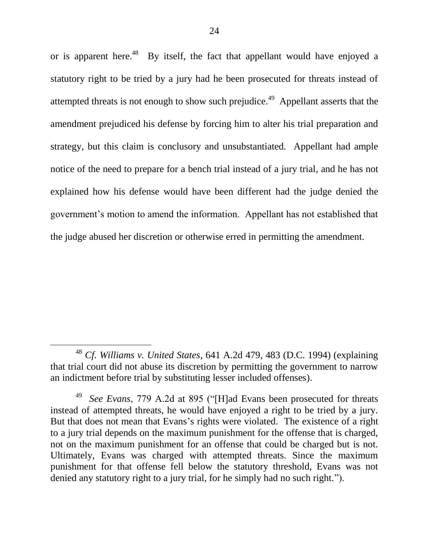or is apparent here.<sup>48</sup> By itself, the fact that appellant would have enjoyed a statutory right to be tried by a jury had he been prosecuted for threats instead of attempted threats is not enough to show such prejudice.<sup>49</sup> Appellant asserts that the amendment prejudiced his defense by forcing him to alter his trial preparation and strategy, but this claim is conclusory and unsubstantiated. Appellant had ample notice of the need to prepare for a bench trial instead of a jury trial, and he has not explained how his defense would have been different had the judge denied the government"s motion to amend the information. Appellant has not established that the judge abused her discretion or otherwise erred in permitting the amendment.

<sup>48</sup> *Cf. Williams v. United States*, 641 A.2d 479, 483 (D.C. 1994) (explaining that trial court did not abuse its discretion by permitting the government to narrow an indictment before trial by substituting lesser included offenses).

<sup>49</sup> *See Evans*, 779 A.2d at 895 ("[H]ad Evans been prosecuted for threats instead of attempted threats, he would have enjoyed a right to be tried by a jury. But that does not mean that Evans's rights were violated. The existence of a right to a jury trial depends on the maximum punishment for the offense that is charged, not on the maximum punishment for an offense that could be charged but is not. Ultimately, Evans was charged with attempted threats. Since the maximum punishment for that offense fell below the statutory threshold, Evans was not denied any statutory right to a jury trial, for he simply had no such right.").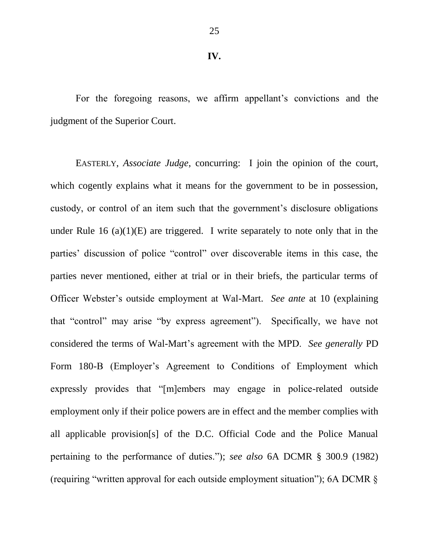## **IV.**

For the foregoing reasons, we affirm appellant's convictions and the judgment of the Superior Court.

EASTERLY, *Associate Judge*, concurring:I join the opinion of the court, which cogently explains what it means for the government to be in possession, custody, or control of an item such that the government's disclosure obligations under Rule 16 (a)(1)(E) are triggered. I write separately to note only that in the parties" discussion of police "control" over discoverable items in this case, the parties never mentioned, either at trial or in their briefs, the particular terms of Officer Webster"s outside employment at Wal-Mart. *See ante* at 10 (explaining that "control" may arise "by express agreement"). Specifically, we have not considered the terms of Wal-Mart"s agreement with the MPD. *See generally* PD Form 180-B (Employer's Agreement to Conditions of Employment which expressly provides that "[m]embers may engage in police-related outside employment only if their police powers are in effect and the member complies with all applicable provision[s] of the D.C. Official Code and the Police Manual pertaining to the performance of duties."); *see also* 6A DCMR § 300.9 (1982) (requiring "written approval for each outside employment situation"); 6A DCMR §